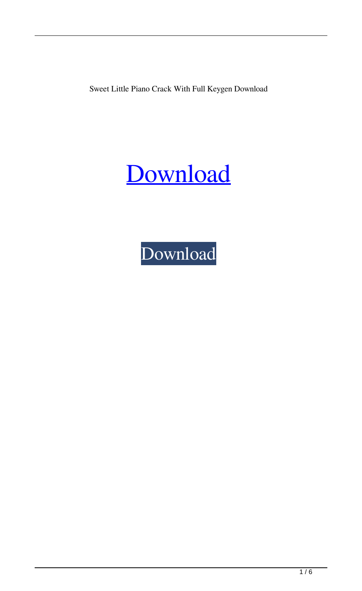Sweet Little Piano Crack With Full Keygen Download

# [Download](http://evacdir.com/laak/ZG93bmxvYWR8cnQ1Tm10c2EzeDhNVFkxTkRVeU1qRXhNSHg4TWpVNU1IeDhLRTBwSUZkdmNtUndjbVZ6Y3lCYldFMU1VbEJESUZZeUlGQkVSbDA/U3dlZXQgTGl0dGxlIFBpYW5vU3d?bossy&rutland=scaleable&choledocholithiasis=sprinkled)

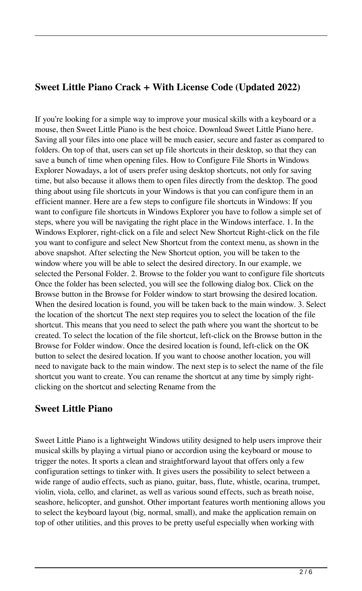### **Sweet Little Piano Crack + With License Code (Updated 2022)**

If you're looking for a simple way to improve your musical skills with a keyboard or a mouse, then Sweet Little Piano is the best choice. Download Sweet Little Piano here. Saving all your files into one place will be much easier, secure and faster as compared to folders. On top of that, users can set up file shortcuts in their desktop, so that they can save a bunch of time when opening files. How to Configure File Shorts in Windows Explorer Nowadays, a lot of users prefer using desktop shortcuts, not only for saving time, but also because it allows them to open files directly from the desktop. The good thing about using file shortcuts in your Windows is that you can configure them in an efficient manner. Here are a few steps to configure file shortcuts in Windows: If you want to configure file shortcuts in Windows Explorer you have to follow a simple set of steps, where you will be navigating the right place in the Windows interface. 1. In the Windows Explorer, right-click on a file and select New Shortcut Right-click on the file you want to configure and select New Shortcut from the context menu, as shown in the above snapshot. After selecting the New Shortcut option, you will be taken to the window where you will be able to select the desired directory. In our example, we selected the Personal Folder. 2. Browse to the folder you want to configure file shortcuts Once the folder has been selected, you will see the following dialog box. Click on the Browse button in the Browse for Folder window to start browsing the desired location. When the desired location is found, you will be taken back to the main window. 3. Select the location of the shortcut The next step requires you to select the location of the file shortcut. This means that you need to select the path where you want the shortcut to be created. To select the location of the file shortcut, left-click on the Browse button in the Browse for Folder window. Once the desired location is found, left-click on the OK button to select the desired location. If you want to choose another location, you will need to navigate back to the main window. The next step is to select the name of the file shortcut you want to create. You can rename the shortcut at any time by simply rightclicking on the shortcut and selecting Rename from the

#### **Sweet Little Piano**

Sweet Little Piano is a lightweight Windows utility designed to help users improve their musical skills by playing a virtual piano or accordion using the keyboard or mouse to trigger the notes. It sports a clean and straightforward layout that offers only a few configuration settings to tinker with. It gives users the possibility to select between a wide range of audio effects, such as piano, guitar, bass, flute, whistle, ocarina, trumpet, violin, viola, cello, and clarinet, as well as various sound effects, such as breath noise, seashore, helicopter, and gunshot. Other important features worth mentioning allows you to select the keyboard layout (big, normal, small), and make the application remain on top of other utilities, and this proves to be pretty useful especially when working with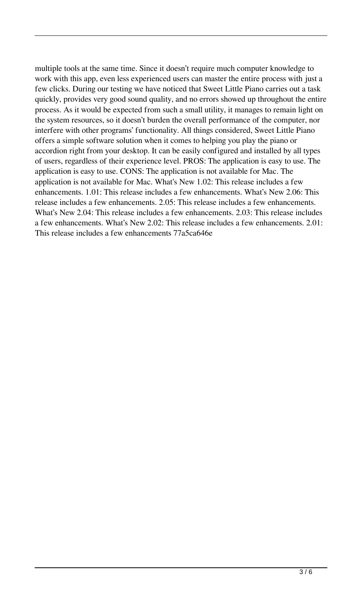multiple tools at the same time. Since it doesn't require much computer knowledge to work with this app, even less experienced users can master the entire process with just a few clicks. During our testing we have noticed that Sweet Little Piano carries out a task quickly, provides very good sound quality, and no errors showed up throughout the entire process. As it would be expected from such a small utility, it manages to remain light on the system resources, so it doesn't burden the overall performance of the computer, nor interfere with other programs' functionality. All things considered, Sweet Little Piano offers a simple software solution when it comes to helping you play the piano or accordion right from your desktop. It can be easily configured and installed by all types of users, regardless of their experience level. PROS: The application is easy to use. The application is easy to use. CONS: The application is not available for Mac. The application is not available for Mac. What's New 1.02: This release includes a few enhancements. 1.01: This release includes a few enhancements. What's New 2.06: This release includes a few enhancements. 2.05: This release includes a few enhancements. What's New 2.04: This release includes a few enhancements. 2.03: This release includes a few enhancements. What's New 2.02: This release includes a few enhancements. 2.01: This release includes a few enhancements 77a5ca646e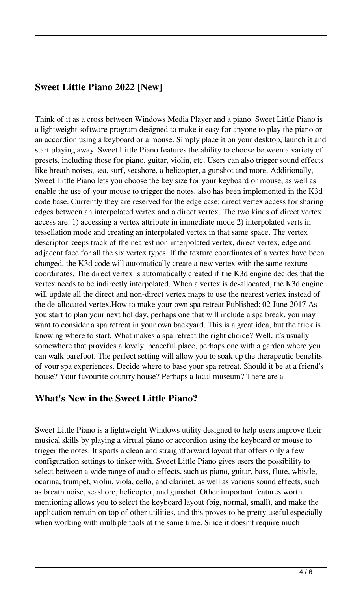## **Sweet Little Piano 2022 [New]**

Think of it as a cross between Windows Media Player and a piano. Sweet Little Piano is a lightweight software program designed to make it easy for anyone to play the piano or an accordion using a keyboard or a mouse. Simply place it on your desktop, launch it and start playing away. Sweet Little Piano features the ability to choose between a variety of presets, including those for piano, guitar, violin, etc. Users can also trigger sound effects like breath noises, sea, surf, seashore, a helicopter, a gunshot and more. Additionally, Sweet Little Piano lets you choose the key size for your keyboard or mouse, as well as enable the use of your mouse to trigger the notes. also has been implemented in the K3d code base. Currently they are reserved for the edge case: direct vertex access for sharing edges between an interpolated vertex and a direct vertex. The two kinds of direct vertex access are: 1) accessing a vertex attribute in immediate mode 2) interpolated verts in tessellation mode and creating an interpolated vertex in that same space. The vertex descriptor keeps track of the nearest non-interpolated vertex, direct vertex, edge and adjacent face for all the six vertex types. If the texture coordinates of a vertex have been changed, the K3d code will automatically create a new vertex with the same texture coordinates. The direct vertex is automatically created if the K3d engine decides that the vertex needs to be indirectly interpolated. When a vertex is de-allocated, the K3d engine will update all the direct and non-direct vertex maps to use the nearest vertex instead of the de-allocated vertex.How to make your own spa retreat Published: 02 June 2017 As you start to plan your next holiday, perhaps one that will include a spa break, you may want to consider a spa retreat in your own backyard. This is a great idea, but the trick is knowing where to start. What makes a spa retreat the right choice? Well, it's usually somewhere that provides a lovely, peaceful place, perhaps one with a garden where you can walk barefoot. The perfect setting will allow you to soak up the therapeutic benefits of your spa experiences. Decide where to base your spa retreat. Should it be at a friend's house? Your favourite country house? Perhaps a local museum? There are a

#### **What's New in the Sweet Little Piano?**

Sweet Little Piano is a lightweight Windows utility designed to help users improve their musical skills by playing a virtual piano or accordion using the keyboard or mouse to trigger the notes. It sports a clean and straightforward layout that offers only a few configuration settings to tinker with. Sweet Little Piano gives users the possibility to select between a wide range of audio effects, such as piano, guitar, bass, flute, whistle, ocarina, trumpet, violin, viola, cello, and clarinet, as well as various sound effects, such as breath noise, seashore, helicopter, and gunshot. Other important features worth mentioning allows you to select the keyboard layout (big, normal, small), and make the application remain on top of other utilities, and this proves to be pretty useful especially when working with multiple tools at the same time. Since it doesn't require much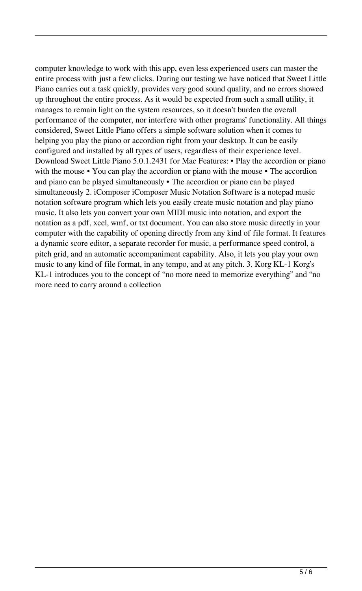computer knowledge to work with this app, even less experienced users can master the entire process with just a few clicks. During our testing we have noticed that Sweet Little Piano carries out a task quickly, provides very good sound quality, and no errors showed up throughout the entire process. As it would be expected from such a small utility, it manages to remain light on the system resources, so it doesn't burden the overall performance of the computer, nor interfere with other programs' functionality. All things considered, Sweet Little Piano offers a simple software solution when it comes to helping you play the piano or accordion right from your desktop. It can be easily configured and installed by all types of users, regardless of their experience level. Download Sweet Little Piano 5.0.1.2431 for Mac Features: • Play the accordion or piano with the mouse • You can play the accordion or piano with the mouse • The accordion and piano can be played simultaneously • The accordion or piano can be played simultaneously 2. iComposer iComposer Music Notation Software is a notepad music notation software program which lets you easily create music notation and play piano music. It also lets you convert your own MIDI music into notation, and export the notation as a pdf, xcel, wmf, or txt document. You can also store music directly in your computer with the capability of opening directly from any kind of file format. It features a dynamic score editor, a separate recorder for music, a performance speed control, a pitch grid, and an automatic accompaniment capability. Also, it lets you play your own music to any kind of file format, in any tempo, and at any pitch. 3. Korg KL-1 Korg's KL-1 introduces you to the concept of "no more need to memorize everything" and "no more need to carry around a collection